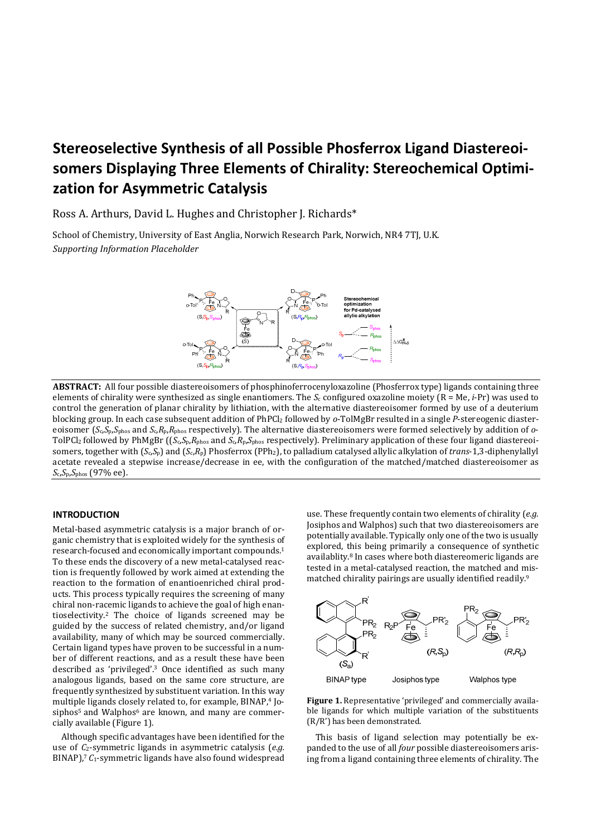# **Stereoselective Synthesis of all Possible Phosferrox Ligand Diastereoisomers Displaying Three Elements of Chirality: Stereochemical Optimization for Asymmetric Catalysis**

Ross A. Arthurs, David L. Hughes and Christopher J. Richards\*

School of Chemistry, University of East Anglia, Norwich Research Park, Norwich, NR4 7TJ, U.K. *Supporting Information Placeholder* 



**ABSTRACT:** All four possible diastereoisomers of phosphinoferrocenyloxazoline (Phosferrox type) ligands containing three elements of chirality were synthesized as single enantiomers. The *S*c configured oxazoline moiety (R = Me, *i*-Pr) was used to control the generation of planar chirality by lithiation, with the alternative diastereoisomer formed by use of a deuterium blocking group. In each case subsequent addition of PhPCl2 followed by *o*-TolMgBr resulted in a single *P*-stereogenic diastereoisomer (*S*c,*S*p,*S*phos and *S*c,*R*p,*R*phos respectively). The alternative diastereoisomers were formed selectively by addition of *o*-TolPCl2 followed by PhMgBr ((*S*c,*S*p,*R*phos and *S*c,*R*p,*S*phos respectively). Preliminary application of these four ligand diastereoisomers, together with (*S*c,*S*p) and (*S*c,*R*p) Phosferrox (PPh2), to palladium catalysed allylic alkylation of *trans*-1,3-diphenylallyl acetate revealed a stepwise increase/decrease in ee, with the configuration of the matched/matched diastereoisomer as *S*c,*S*p,*S*phos (97% ee).

## **INTRODUCTION**

Metal-based asymmetric catalysis is a major branch of organic chemistry that is exploited widely for the synthesis of research-focused and economically important compounds.<sup>1</sup> To these ends the discovery of a new metal-catalysed reaction is frequently followed by work aimed at extending the reaction to the formation of enantioenriched chiral products. This process typically requires the screening of many chiral non-racemic ligands to achieve the goal of high enantioselectivity.2 The choice of ligands screened may be guided by the success of related chemistry, and/or ligand availability, many of which may be sourced commercially. Certain ligand types have proven to be successful in a number of different reactions, and as a result these have been described as 'privileged'.<sup>3</sup> Once identified as such many analogous ligands, based on the same core structure, are frequently synthesized by substituent variation. In this way multiple ligands closely related to, for example, BINAP,<sup>4</sup> Josiphos<sup>5</sup> and Walphos<sup>6</sup> are known, and many are commercially available (Figure 1).

Although specific advantages have been identified for the use of *C*2-symmetric ligands in asymmetric catalysis (*e.g.* BINAP),<sup>7</sup> C<sub>1</sub>-symmetric ligands have also found widespread

use. These frequently contain two elements of chirality (*e.g.* Josiphos and Walphos) such that two diastereoisomers are potentially available. Typically only one of the two is usually explored, this being primarily a consequence of synthetic availablity.8 In cases where both diastereomeric ligands are tested in a metal-catalysed reaction, the matched and mismatched chirality pairings are usually identified readily.<sup>9</sup>



**Figure 1.** Representative 'privileged' and commercially available ligands for which multiple variation of the substituents (R/R') has been demonstrated.

This basis of ligand selection may potentially be expanded to the use of all *four* possible diastereoisomers arising from a ligand containing three elements of chirality. The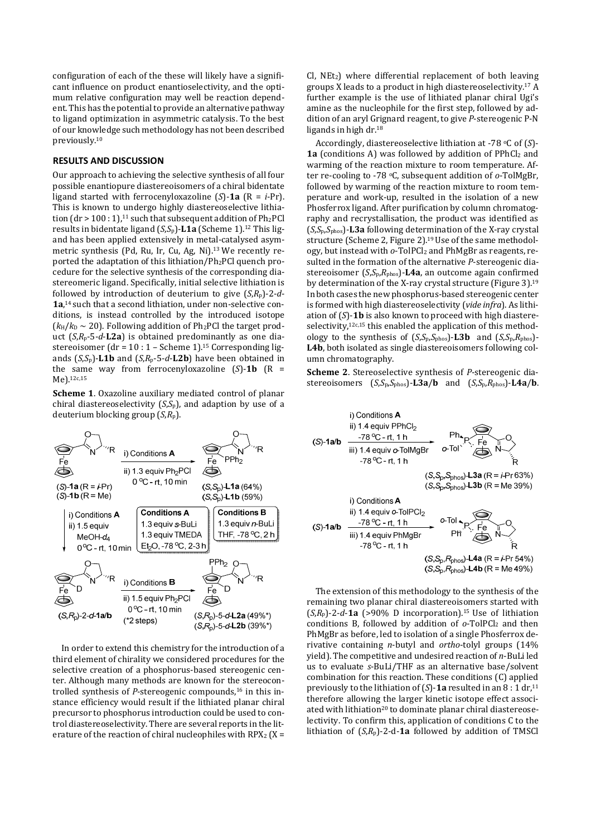configuration of each of the these will likely have a significant influence on product enantioselectivity, and the optimum relative configuration may well be reaction dependent. This has the potential to provide an alternative pathway to ligand optimization in asymmetric catalysis. To the best of our knowledge such methodology has not been described previously.<sup>10</sup>

#### **RESULTS AND DISCUSSION**

Our approach to achieving the selective synthesis of all four possible enantiopure diastereoisomers of a chiral bidentate ligand started with ferrocenyloxazoline (*S*)-**1a** (R = *i*-Pr). This is known to undergo highly diastereoselective lithiation  $(dr > 100:1)<sup>11</sup>$  such that subsequent addition of Ph<sub>2</sub>PCl results in bidentate ligand (*S*,*S*p)-**L1a** (Scheme 1).12 This ligand has been applied extensively in metal-catalysed asymmetric synthesis (Pd, Ru, Ir, Cu, Ag, Ni).13 We recently reported the adaptation of this lithiation/Ph2PCl quench procedure for the selective synthesis of the corresponding diastereomeric ligand. Specifically, initial selective lithiation is followed by introduction of deuterium to give (*S*,*R*p)-2-*d*-**1a**, 14 such that a second lithiation, under non-selective conditions, is instead controlled by the introduced isotope  $(k_H/k_D \sim 20)$ . Following addition of Ph<sub>2</sub>PCl the target product (*S*,*R*p-5-*d*-**L2a**) is obtained predominantly as one diastereoisomer (dr = 10 : 1 – Scheme 1).15 Corresponding ligands  $(S, S_p)$ -**L1b** and  $(S, R_p$ -5-*d*-**L2b**) have been obtained in the same way from ferrocenyloxazoline  $(S)$ -1b  $(R =$ Me).12c,15

**Scheme 1**. Oxazoline auxiliary mediated control of planar chiral diastereoselectivity (*S*,*S*p), and adaption by use of a deuterium blocking group (*S*,*R*p).



In order to extend this chemistry for the introduction of a third element of chirality we considered procedures for the selective creation of a phosphorus-based stereogenic center. Although many methods are known for the stereocontrolled synthesis of *P*-stereogenic compounds.<sup>16</sup> in this instance efficiency would result if the lithiated planar chiral precursor to phosphorus introduction could be used to control diastereoselectivity. There are several reports in the literature of the reaction of chiral nucleophiles with  $RPX_2$  (X =

 $Cl$ ,  $NEt<sub>2</sub>$ ) where differential replacement of both leaving groups X leads to a product in high diastereoselectivity.17 A further example is the use of lithiated planar chiral Ugi's amine as the nucleophile for the first step, followed by addition of an aryl Grignard reagent, to give *P*-stereogenic P-N ligands in high dr.<sup>18</sup>

Accordingly, diastereoselective lithiation at -78 oC of (*S*)- **1a** (conditions A) was followed by addition of PPhCl2 and warming of the reaction mixture to room temperature. After re-cooling to -78 oC, subsequent addition of *o*-TolMgBr, followed by warming of the reaction mixture to room temperature and work-up, resulted in the isolation of a new Phosferrox ligand. After purification by column chromatography and recrystallisation, the product was identified as (*S*,*S*p,*S*phos)-**L3a** following determination of the X-ray crystal structure (Scheme 2, Figure 2).<sup>19</sup> Use of the same methodology, but instead with *o*-TolPCl2 and PhMgBr as reagents, resulted in the formation of the alternative *P*-stereogenic diastereoisomer (*S*,*S*p,*R*phos)-**L4a**, an outcome again confirmed by determination of the X-ray crystal structure (Figure 3).<sup>19</sup> In both cases the new phosphorus-based stereogenic center is formed with high diastereoselectivity (*vide infra*). As lithiation of (*S*)-**1b** is also known to proceed with high diastereselectivity,  $12c,15$  this enabled the application of this methodology to the synthesis of (*S*,*S*p,*S*phos)-**L3b** and (*S*,*S*p,*R*phos)- **L4b**, both isolated as single diastereoisomers following column chromatography.

**Scheme 2**. Stereoselective synthesis of *P*-stereogenic diastereoisomers (*S*,*S*p,*S*phos)-**L3a**/**b** and (*S*,*S*p,*R*phos)-**L4a**/**b**.



The extension of this methodology to the synthesis of the remaining two planar chiral diastereoisomers started with  $(S,R_p)$ -2-*d*-**1a** (>90% D incorporation).<sup>15</sup> Use of lithiation conditions B, followed by addition of *o*-TolPCl2 and then PhMgBr as before, led to isolation of a single Phosferrox derivative containing *n*-butyl and *ortho*-tolyl groups (14% yield). The competitive and undesired reaction of *n*-BuLi led us to evaluate *s*-BuLi/THF as an alternative base/solvent combination for this reaction. These conditions (C) applied previously to the lithiation of  $(S)$ -1a resulted in an  $8:1$  dr,  $11$ therefore allowing the larger kinetic isotope effect associated with lithiation<sup>20</sup> to dominate planar chiral diastereoselectivity. To confirm this, application of conditions C to the lithiation of (*S*,*R*p)-2-d-**1a** followed by addition of TMSCl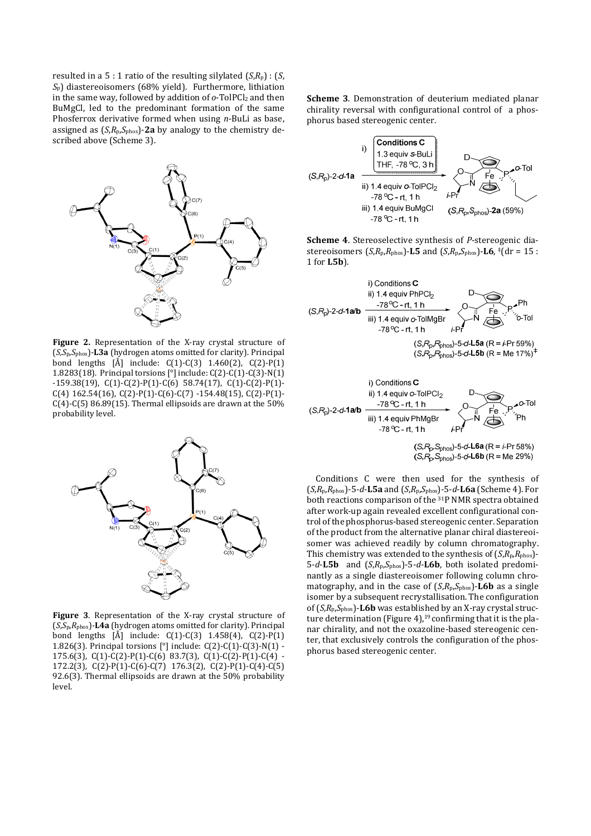resulted in a 5 : 1 ratio of the resulting silvlated  $(S, R_p)$  :  $(S, R_p)$ *S*p) diastereoisomers (68% yield). Furthermore, lithiation in the same way, followed by addition of  $o$ -TolPCl<sub>2</sub> and then BuMgCl, led to the predominant formation of the same Phosferrox derivative formed when using *n*-BuLi as base, assigned as (*S*,*R*p,*S*phos)-**2a** by analogy to the chemistry described above (Scheme 3).



**Figure 2.** Representation of the X-ray crystal structure of (*S,S*p*,S*phos)-**L3a** (hydrogen atoms omitted for clarity). Principal bond lengths [Å] include: C(1)-C(3) 1.460(2), C(2)-P(1) 1.8283(18). Principal torsions [°] include: C(2)-C(1)-C(3)-N(1) -159.38(19), C(1)-C(2)-P(1)-C(6) 58.74(17), C(1)-C(2)-P(1)-  $C(4)$  162.54(16),  $C(2)$ -P(1)-C(6)-C(7) -154.48(15), C(2)-P(1)- $C(4)$ -C(5) 86.89(15). Thermal ellipsoids are drawn at the 50% probability level.



**Figure 3**. Representation of the X-ray crystal structure of (*S*,*S*p,*R*phos)-**L4a** (hydrogen atoms omitted for clarity). Principal bond lengths [Å] include: C(1)-C(3) 1.458(4), C(2)-P(1) 1.826(3). Principal torsions [°] include: C(2)-C(1)-C(3)-N(1) - 175.6(3), C(1)-C(2)-P(1)-C(6) 83.7(3), C(1)-C(2)-P(1)-C(4) - 172.2(3), C(2)-P(1)-C(6)-C(7) 176.3(2), C(2)-P(1)-C(4)-C(5) 92.6(3). Thermal ellipsoids are drawn at the 50% probability level.

**Scheme 3**. Demonstration of deuterium mediated planar chirality reversal with configurational control of a phosphorus based stereogenic center.



**Scheme 4**. Stereoselective synthesis of *P*-stereogenic diastereoisomers  $(S, R_p, R_{phos})$ -**L5** and  $(S, R_p, S_{phos})$ -**L6**,  $*(dr = 15 :$ 1 for **L5b**).



Conditions C were then used for the synthesis of (*S*,*R*p,*R*phos)-5-*d*-**L5a** and (*S*,*R*p,*S*phos)-5-*d*-**L6a** (Scheme 4). For both reactions comparison of the 31P NMR spectra obtained after work-up again revealed excellent configurational control of the phosphorus-based stereogenic center. Separation of the product from the alternative planar chiral diastereoisomer was achieved readily by column chromatography. This chemistry was extended to the synthesis of  $(S, R_p, R_{\text{phos}})$ -5-*d*-**L5b** and (*S*,*R*p,*S*phos)-5-*d*-**L6b**, both isolated predominantly as a single diastereoisomer following column chromatography, and in the case of (*S*,*R*p,*S*phos)-**L6b** as a single isomer by a subsequent recrystallisation. The configuration of (*S*,*R*p,*S*phos)-**L6b** was established by an X-ray crystal structure determination (Figure 4), $19$  confirming that it is the planar chirality, and not the oxazoline-based stereogenic center, that exclusively controls the configuration of the phosphorus based stereogenic center.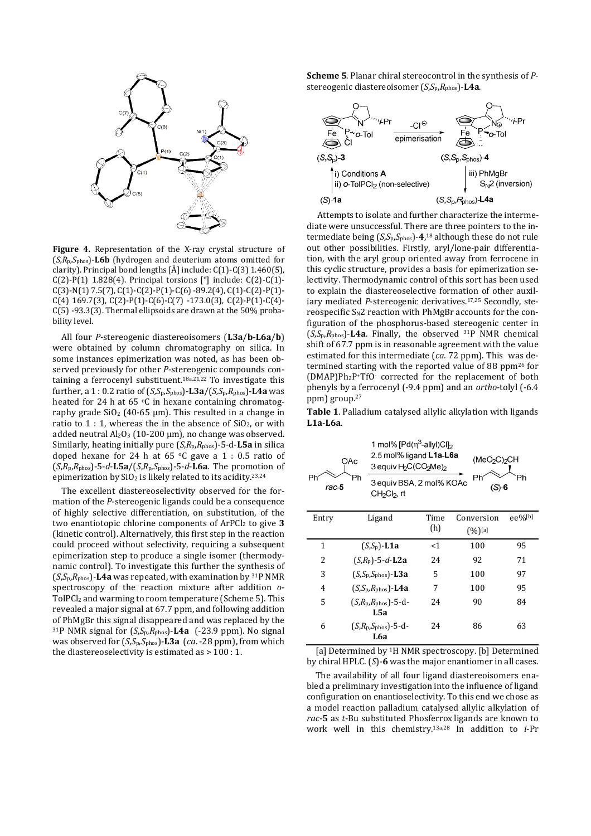

**Figure 4.** Representation of the X-ray crystal structure of (*S,R*p*,S*phos)-**L6b** (hydrogen and deuterium atoms omitted for clarity). Principal bond lengths  $\left[\AA\right]$  include:  $C(1)$ - $C(3)$  1.460(5), C(2)-P(1) 1.828(4). Principal torsions  $[°]$  include: C(2)-C(1)- $C(3)-N(1)$  7.5(7),  $C(1)-C(2)-P(1)-C(6) -89.2(4)$ ,  $C(1)-C(2)-P(1)-C(3)$  $C(4)$  169.7(3),  $C(2)$ -P(1)-C(6)-C(7) -173.0(3), C(2)-P(1)-C(4)-C(5) -93.3(3). Thermal ellipsoids are drawn at the 50% probability level.

All four *P*-stereogenic diastereoisomers (**L3a**/**b**-**L6a**/**b**) were obtained by column chromatography on silica. In some instances epimerization was noted, as has been observed previously for other *P*-stereogenic compounds containing a ferrocenyl substituent.18a,21,22 To investigate this further, a 1 : 0.2 ratio of (*S,S*p*,S*phos)-**L3a**/(*S,S*p*,R*phos)-**L4a** was heated for 24 h at 65  $\,^{\circ}$ C in hexane containing chromatography grade  $SiO<sub>2</sub>$  (40-65 µm). This resulted in a change in ratio to  $1:1$ , whereas the in the absence of  $SiO<sub>2</sub>$ , or with added neutral  $Al_2O_3$  (10-200 µm), no change was observed. Similarly, heating initially pure (*S*,*R*p,*R*phos)-5-d-**L5a** in silica doped hexane for 24 h at 65  $\degree$ C gave a 1 : 0.5 ratio of (*S*,*R*p,*R*phos)-5-*d*-**L5a**/(*S*,*R*p,*S*phos)-5-*d*-**L6a**. The promotion of epimerization by  $SiO<sub>2</sub>$  is likely related to its acidity.<sup>23,24</sup>

The excellent diastereoselectivity observed for the formation of the *P*-stereogenic ligands could be a consequence of highly selective differentiation, on substitution, of the two enantiotopic chlorine components of ArPCl2 to give **3** (kinetic control). Alternatively, this first step in the reaction could proceed without selectivity, requiring a subsequent epimerization step to produce a single isomer (thermodynamic control). To investigate this further the synthesis of  $(S,S_p,R_{\text{phos}})$ -**L4a** was repeated, with examination by <sup>31</sup>P NMR spectroscopy of the reaction mixture after addition *o*-TolPCl2 and warming to room temperature (Scheme 5). This revealed a major signal at 67.7 ppm, and following addition of PhMgBr this signal disappeared and was replaced by the <sup>31</sup>P NMR signal for (*S*,*S*p,*R*phos)-**L4a** (-23.9 ppm). No signal was observed for (*S*,*S*p,*S*phos)-**L3a** (*ca*. -28 ppm), from which the diastereoselectivity is estimated as > 100 : 1.

**Scheme 5**. Planar chiral stereocontrol in the synthesis of *P*stereogenic diastereoisomer (*S*,*S*p,*R*phos)-**L4a**.



 Attempts to isolate and further characterize the intermediate were unsuccessful. There are three pointers to the intermediate being (*S*,*S*p,*S*phos)-**4**, <sup>18</sup> although these do not rule out other possibilities. Firstly, aryl/lone-pair differentiation, with the aryl group oriented away from ferrocene in this cyclic structure, provides a basis for epimerization selectivity. Thermodynamic control of this sort has been used to explain the diastereoselective formation of other auxiliary mediated *P*-stereogenic derivatives.17,25 Secondly, stereospecific  $S_N2$  reaction with PhMgBr accounts for the configuration of the phosphorus-based stereogenic center in  $(S, S_p, R_{\text{phos}})$ -L4a. Finally, the observed  $31P$  NMR chemical shift of 67.7 ppm is in reasonable agreement with the value estimated for this intermediate (*ca.* 72 ppm). This was determined starting with the reported value of 88 ppm<sup>26</sup> for (DMAP)Ph2P+TfO- corrected for the replacement of both phenyls by a ferrocenyl (-9.4 ppm) and an *ortho*-tolyl (-6.4 ppm) group.<sup>27</sup>

**Table 1**. Palladium catalysed allylic alkylation with ligands **L1a**-**L6a**.

|             | OAc                                         | 1 mol% $[Pd(\eta^3$ -allyl)Cl] <sub>2</sub><br>2.5 mol% ligand L1a-L6a<br>(MeO <sub>2</sub> C) <sub>2</sub> CH<br>3 equiv H <sub>2</sub> C(CO <sub>2</sub> Me) <sub>2</sub> |            |            |
|-------------|---------------------------------------------|-----------------------------------------------------------------------------------------------------------------------------------------------------------------------------|------------|------------|
| Ρh<br>rac 5 | Ph<br>CH2Cl2, rt                            | Ph<br>3 equiv BSA, 2 mol% KOAc<br>$(S)-6$                                                                                                                                   |            |            |
| Entry       | Ligand                                      | Time                                                                                                                                                                        | Conversion | $ee\%$ [b] |
|             |                                             | (h)                                                                                                                                                                         | $(%)]$ [a] |            |
| 1           | $(S,S_p)$ -L1a                              | $<$ 1                                                                                                                                                                       | 100        | 95         |
| 2           | $(S,R_n)$ -5-d-L2a                          | 24                                                                                                                                                                          | 92         | 71         |
| 3           | $(S,S_p,S_{\text{phos}})$ -L3a              | 5                                                                                                                                                                           | 100        | 97         |
| 4           | $(S, S_p, R_{\text{phos}})$ -L4a            | 7                                                                                                                                                                           | 100        | 95         |
| 5           | $(S, R_{\rm p}, R_{\rm phos})$ -5-d-<br>L5a | 24                                                                                                                                                                          | 90         | 84         |
| 6           | $(S, R_{\rm p}, S_{\rm phos})$ -5-d-<br>L6a | 24                                                                                                                                                                          | 86         | 63         |

[a] Determined by <sup>1</sup>H NMR spectroscopy. [b] Determined by chiral HPLC. (*S*)-**6** was the major enantiomer in all cases.

The availability of all four ligand diastereoisomers enabled a preliminary investigation into the influence of ligand configuration on enantioselectivity. To this end we chose as a model reaction palladium catalysed allylic alkylation of *rac*-**5** as *t*-Bu substituted Phosferrox ligands are known to work well in this chemistry.13a,28 In addition to *i*-Pr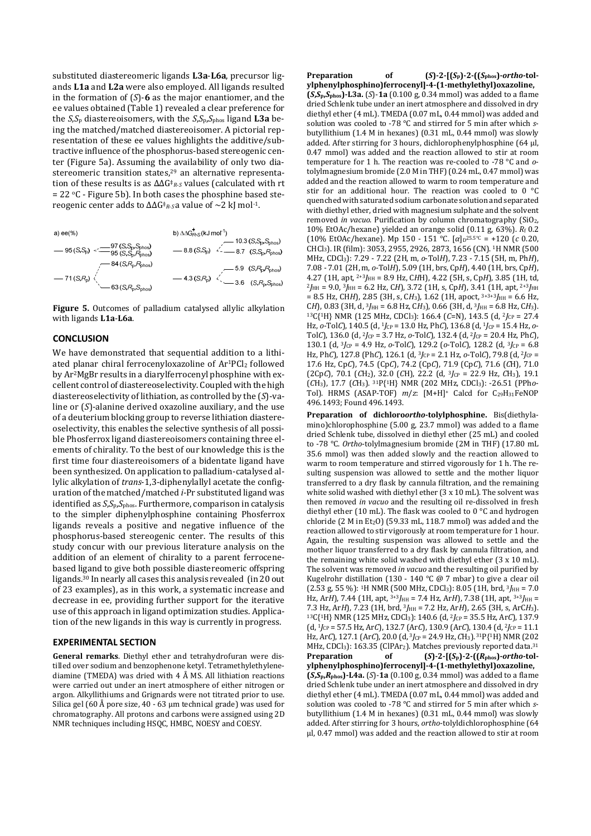substituted diastereomeric ligands **L3a**-**L6a**, precursor ligands **L1a** and **L2a** were also employed. All ligands resulted in the formation of (*S*)-**6** as the major enantiomer, and the ee values obtained (Table 1) revealed a clear preference for the *S*,*S*p diastereoisomers, with the *S*,*S*p,*S*phos ligand **L3a** being the matched/matched diastereoisomer. A pictorial representation of these ee values highlights the additive/subtractive influence of the phosphorus-based stereogenic center (Figure 5a). Assuming the availability of only two diastereomeric transition states,<sup>29</sup> an alternative representation of these results is as ΔΔG‡ *<sup>R</sup>*-*S* values (calculated with rt  $= 22$  °C - Figure 5b). In both cases the phosphine based stereogenic center adds to ΔΔG‡ *<sup>R</sup>*-*S* a value of ~2 kJ mol-1.



**Figure 5.** Outcomes of palladium catalysed allylic alkylation with ligands **L1a**-**L6a**.

### **CONCLUSION**

We have demonstrated that sequential addition to a lithiated planar chiral ferrocenyloxazoline of Ar<sup>1</sup>PCl<sub>2</sub> followed by Ar2MgBr results in a diarylferrocenyl phosphine with excellent control of diastereoselectivity. Coupled with the high diastereoselectivity of lithiation, as controlled by the (*S*)-valine or (*S*)-alanine derived oxazoline auxiliary, and the use of a deuterium blocking group to reverse lithiation diastereoselectivity, this enables the selective synthesis of all possible Phosferrox ligand diastereoisomers containing three elements of chirality. To the best of our knowledge this is the first time four diastereoisomers of a bidentate ligand have been synthesized. On application to palladium-catalysed allylic alkylation of *trans*-1,3-diphenylallyl acetate the configuration of the matched/matched *i*-Pr substituted ligand was identified as *S*,*S*p,*S*phos. Furthermore, comparison in catalysis to the simpler diphenylphosphine containing Phosferrox ligands reveals a positive and negative influence of the phosphorus-based stereogenic center. The results of this study concur with our previous literature analysis on the addition of an element of chirality to a parent ferrocenebased ligand to give both possible diastereomeric offspring ligands.30 In nearly all cases this analysis revealed (in 20 out of 23 examples), as in this work, a systematic increase and decrease in ee, providing further support for the iterative use of this approach in ligand optimization studies. Application of the new ligands in this way is currently in progress.

#### **EXPERIMENTAL SECTION**

**General remarks**. Diethyl ether and tetrahydrofuran were distilled over sodium and benzophenone ketyl. Tetramethylethylenediamine (TMEDA) was dried with 4 Å MS. All lithiation reactions were carried out under an inert atmosphere of either nitrogen or argon. Alkyllithiums and Grignards were not titrated prior to use. Silica gel (60 Å pore size, 40 - 63  $\mu$ m technical grade) was used for chromatography. All protons and carbons were assigned using 2D NMR techniques including HSQC, HMBC, NOESY and COESY.

**Preparation** of  $(S)-2-\left[(S_p)-2-\left[(S_p)S_p\right]-\text{ortho-to-}L\right]$ **ylphenylphosphino)ferrocenyl]-4-(1-methylethyl)oxazoline, (***S***,***S***p,***S***phos)-L3a.** (*S*)-**1a** (0.100 g, 0.34 mmol) was added to a flame dried Schlenk tube under an inert atmosphere and dissolved in dry diethyl ether (4 mL). TMEDA (0.07 mL, 0.44 mmol) was added and solution was cooled to -78 °C and stirred for 5 min after which *s*butyllithium (1.4 M in hexanes) (0.31 mL, 0.44 mmol) was slowly added. After stirring for 3 hours, dichlorophenylphosphine (64 μl, 0.47 mmol) was added and the reaction allowed to stir at room temperature for 1 h. The reaction was re-cooled to -78 °C and *o*tolylmagnesium bromide (2.0 M in THF) (0.24 mL, 0.47 mmol) was added and the reaction allowed to warm to room temperature and stir for an additional hour. The reaction was cooled to 0 °C quenched with saturated sodium carbonate solution and separated with diethyl ether, dried with magnesium sulphate and the solvent removed *in vacuo*. Purification by column chromatography (SiO2, 10% EtOAc/hexane) yielded an orange solid (0.11 g, 63%). *R*f 0.2  $(10\% \text{ EtOAc/hexane})$ . Mp 150 - 151 °C.  $[\alpha]_{D}^{25.5\degree C}$  = +120 (*c* 0.20, CHCl3). IR (film): 3053, 2955, 2926, 2873, 1656 (CN). 1H NMR (500 MHz, CDCl3): 7.29 - 7.22 (2H, m, *o*-Tol*H*), 7.23 - 7.15 (5H, m, Ph*H*), 7.08 - 7.01 (2H, m, *o*-Tol*H*), 5.09 (1H, brs, Cp*H*), 4.40 (1H, brs, Cp*H*), 4.27 (1H, apt, 2+3*J*HH = 8.9 Hz, C*H*H), 4.22 (5H, s, Cp*H*), 3.85 (1H, td, <sup>2</sup>*J*HH = 9.0, <sup>3</sup>*J*HH = 6.2 Hz, C*H*), 3.72 (1H, s, Cp*H*), 3.41 (1H, apt, 2+3*J*HH = 8.5 Hz, CH*H*), 2.85 (3H, s, C*H*3), 1.62 (1H, apoct, 3+3+3*J*HH = 6.6 Hz,  $CH$ ), 0.83 (3H, d,  $3J_{HH}$  = 6.8 Hz, CH<sub>3</sub>), 0.66 (3H, d,  $3J_{HH}$  = 6.8 Hz, CH<sub>3</sub>). <sup>13</sup>C{1H} NMR (125 MHz, CDCl3): 166.4 (*C*=N), 143.5 (d, <sup>2</sup>*J*CP = 27.4 Hz, *o*-Tol*C*), 140.5 (d, <sup>1</sup>*J*CP = 13.0 Hz, Ph*C*), 136.8 (d, <sup>1</sup>*J*CP = 15.4 Hz, *o*-Tol*C*), 136.0 (d, 2*J*CP = 3.7 Hz, *o*-Tol*C*), 132.4 (d, 2*J*CP = 20.4 Hz, Ph*C*), 130.1 (d, 3*J*CP = 4.9 Hz, *o*-Tol*C*), 129.2 (*o*-Tol*C*), 128.2 (d, 3*J*CP = 6.8 Hz, Ph*C*), 127.8 (Ph*C*), 126.1 (d, <sup>3</sup>*J*CP = 2.1 Hz, *o*-Tol*C*), 79.8 (d, <sup>2</sup>*J*CP = 17.6 Hz, Cp*C*), 74.5 (Cp*C*), 74.2 (Cp*C*), 71.9 (Cp*C*), 71.6 (*C*H), 71.0  $(2CpC)$ , 70.1  $(CH_2)$ , 32.0  $(CH)$ , 22.2  $(d, 3/cP = 22.9$  Hz,  $CH_3$ ), 19.1 (*C*H3), 17.7 (*C*H3). 31P{1H} NMR (202 MHz, CDCl3): -26.51 (PPh*o*-Tol). HRMS (ASAP-TOF)  $m/z$ : [M+H]<sup>+</sup> Calcd for C<sub>29</sub>H<sub>31</sub>FeNOP 496.1493; Found 496.1493.

**Preparation of dichloro***ortho***-tolylphosphine.** Bis(diethylamino)chlorophosphine (5.00 g, 23.7 mmol) was added to a flame dried Schlenk tube, dissolved in diethyl ether (25 mL) and cooled to -78 °C. *Ortho*-tolylmagnesium bromide (2M in THF) (17.80 mL 35.6 mmol) was then added slowly and the reaction allowed to warm to room temperature and stirred vigorously for 1 h. The resulting suspension was allowed to settle and the mother liquor transferred to a dry flask by cannula filtration, and the remaining white solid washed with diethyl ether (3 x 10 mL). The solvent was then removed *in vacuo* and the resulting oil re-dissolved in fresh diethyl ether (10 mL). The flask was cooled to 0 °C and hydrogen chloride  $(2 M in Et<sub>2</sub>O)$   $(59.33 mL, 118.7 mmol)$  was added and the reaction allowed to stir vigorously at room temperature for 1 hour. Again, the resulting suspension was allowed to settle and the mother liquor transferred to a dry flask by cannula filtration, and the remaining white solid washed with diethyl ether (3 x 10 mL). The solvent was removed *in vacuo* and the resulting oil purified by Kugelrohr distillation (130 - 140 °C @ 7 mbar) to give a clear oil  $(2.53 \text{ g}, 55 \text{ %})$ : <sup>1</sup>H NMR (500 MHz, CDCl<sub>3</sub>): 8.05 (1H, brd, <sup>3</sup>/<sub>HH</sub> = 7.0 Hz, ArH), 7.44 (1H, apt, <sup>3+3</sup>J<sub>HH</sub> = 7.4 Hz, ArH), 7.38 (1H, apt, <sup>3+3</sup>J<sub>HH</sub> = 7.3 Hz, Ar*H*), 7.23 (1H, brd,  ${}^{3}$ *H*H = 7.2 Hz, Ar*H*), 2.65 (3H, s, ArC*H*<sub>3</sub>). <sup>13</sup>C{1H} NMR (125 MHz, CDCl3): 140.6 (d, <sup>2</sup>*J*CP = 35.5 Hz, Ar*C*), 137.9  $(d, \frac{1}{C_P} = 57.5 \text{ Hz}, \text{ArC}$ , 132.7 (Ar*C*), 130.9 (Ar*C*), 130.4 (d,  $\frac{2}{C_P} = 11.1$ Hz, Ar*C*), 127.1 (Ar*C*), 20.0 (d, 3*J*CP = 24.9 Hz, *C*H3). 31P{1H} NMR (202 MHz, CDCl3): 163.35 (ClPAr2). Matches previously reported data.<sup>31</sup> **Preparation of (***S***)-2-[(***S***p)-2-((***R***phos)-***ortho***-tolylphenylphosphino)ferrocenyl]-4-(1-methylethyl)oxazoline,** 

**(***S***,***S***p,***R***phos)-L4a.** (*S*)-**1a** (0.100 g, 0.34 mmol) was added to a flame dried Schlenk tube under an inert atmosphere and dissolved in dry diethyl ether (4 mL). TMEDA (0.07 mL, 0.44 mmol) was added and solution was cooled to -78 °C and stirred for 5 min after which *s*butyllithium (1.4 M in hexanes) (0.31 mL, 0.44 mmol) was slowly added. After stirring for 3 hours, *ortho*-tolyldichlorophosphine (64 μl, 0.47 mmol) was added and the reaction allowed to stir at room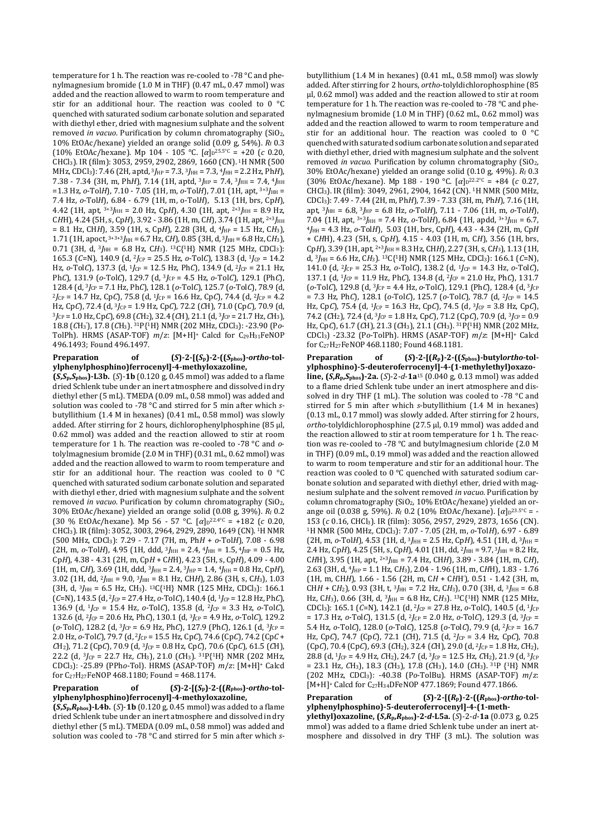temperature for 1 h. The reaction was re-cooled to -78 °C and phenylmagnesium bromide (1.0 M in THF) (0.47 mL, 0.47 mmol) was added and the reaction allowed to warm to room temperature and stir for an additional hour. The reaction was cooled to 0 °C quenched with saturated sodium carbonate solution and separated with diethyl ether, dried with magnesium sulphate and the solvent removed *in vacuo*. Purification by column chromatography (SiO2, 10% EtOAc/hexane) yielded an orange solid (0.09 g, 54%). *R*f 0.3  $(10\% \text{ EtOAc/hexane})$ . Mp 104 - 105 °C.  $[\alpha]_{D}^{25.5}$ °C = +20 (*c* 0.20, CHCl3). IR (film): 3053, 2959, 2902, 2869, 1660 (CN). 1H NMR (500 MHz, CDCl3): 7.46 (2H, aptd, 3*J*HP = 7.3, 3*J*HH = 7.3, 4*J*HH = 2.2 Hz, Ph*H*), 7.38 - 7.34 (3H, m, Ph*H*), 7.14 (1H, aptd,  $3I_{HP} = 7.4$ ,  $3I_{HH} = 7.4$ ,  $4I_{HH}$ =1.3 Hz,  $o$ -TolH), 7.10 - 7.05 (1H, m,  $o$ -TolH), 7.01 (1H, apt,  $3+3$  $J$ <sub>HH</sub> = 7.4 Hz, *o*-Tol*H*), 6.84 - 6.79 (1H, m, o-Tol*H*), 5.13 (1H, brs, Cp*H*), 4.42 (1H, apt, 3+3*J*HH = 2.0 Hz, Cp*H*), 4.30 (1H, apt, 2+3*J*HH = 8.9 Hz, CHH), 4.24 (5H, s, CpH), 3.92 - 3.86 (1H, m, CH), 3.74 (1H, apt, <sup>2+3</sup>/<sub>HH</sub> = 8.1 Hz, CH*H*), 3.59 (1H, s, Cp*H*), 2.28 (3H, d, <sup>4</sup>*J*HP = 1.5 Hz, C*H*3), 1.71 (1H, apoct, 3+3+3*J*HH = 6.7 Hz, C*H*), 0.85 (3H, d, <sup>3</sup>*J*HH = 6.8 Hz, C*H*3), 0.71 (3H,  $\hat{d}$ ,  $3J_{HH} = 6.8$  Hz, CH<sub>3</sub>). <sup>13</sup>C{<sup>1</sup>H} NMR (125 MHz, CDCl<sub>3</sub>): 165.3 (*C*=N), 140.9 (d, 2*J*CP = 25.5 Hz, *o*-Tol*C*), 138.3 (d, 1*J*CP = 14.2 Hz, *o*-Tol*C*), 137.3 (d, <sup>1</sup>*J*<sub>CP</sub> = 12.5 Hz, Ph*C*), 134.9 (d, <sup>2</sup>*J*<sub>CP</sub> = 21.1 Hz, Ph*C*), 131.9 (*o*-Tol*C*), 129.7 (d, <sup>3</sup>*J*CP = 4.5 Hz, *o*-Tol*C*), 129.1 (Ph*C*), 128.4 (d, <sup>3</sup>*J*CP = 7.1 Hz, Ph*C*), 128.1 (*o*-Tol*C*), 125.7 (*o*-Tol*C*), 78.9 (d,  $^{2}J_{CP}$  = 14.7 Hz, Cp*C*), 75.8 (d, <sup>1</sup>*J*<sub>CP</sub> = 16.6 Hz, Cp*C*), 74.4 (d, <sup>2</sup>*J*<sub>CP</sub> = 4.2 Hz, Cp*C*), 72.4 (d, 3*J*CP = 1.9 Hz, Cp*C*), 72.2 (*C*H), 71.0 (Cp*C*), 70.9 (d,  ${}^{3}$  $J_{CP}$  = 1.0 Hz, Cp*C*), 69.8 (*C*H<sub>2</sub>), 32.4 (*C*H), 21.1 (d,  ${}^{3}$  $J_{CP}$  = 21.7 Hz, *C*H<sub>3</sub>), 18.8 (*C*H<sup>3</sup> '), 17.8 (*C*H3). 31P{1H} NMR (202 MHz, CDCl3): -23.90 (P*o*-TolPh). HRMS (ASAP-TOF)  $m/z$ : [M+H]<sup>+</sup> Calcd for C<sub>29</sub>H<sub>31</sub>FeNOP 496.1493; Found 496.1497.

#### **Preparation** of  $(S)$ -2- $[(S_p)$ -2- $((S_{phos})$ -*ortho*-tol**ylphenylphosphino)ferrocenyl]-4-methyloxazoline,**

**(***S***,***S***p,***S***phos)-L3b.** (*S*)-**1b** (0.120 g, 0.45 mmol) was added to a flame dried Schlenk tube under an inert atmosphere and dissolved in dry diethyl ether (5 mL). TMEDA (0.09 mL, 0.58 mmol) was added and solution was cooled to -78 °C and stirred for 5 min after which *s*butyllithium (1.4 M in hexanes) (0.41 mL, 0.58 mmol) was slowly added. After stirring for 2 hours, dichlorophenylphosphine (85 μl, 0.62 mmol) was added and the reaction allowed to stir at room temperature for 1 h. The reaction was re-cooled to -78 °C and *o*tolylmagnesium bromide (2.0 M in THF) (0.31 mL, 0.62 mmol) was added and the reaction allowed to warm to room temperature and stir for an additional hour. The reaction was cooled to 0 °C quenched with saturated sodium carbonate solution and separated with diethyl ether, dried with magnesium sulphate and the solvent removed *in vacuo*. Purification by column chromatography (SiO2, 30% EtOAc/hexane) yielded an orange solid (0.08 g, 39%). *R*f 0.2 (30 % EtOAc/hexane). Mp 56 - 57 °C. [α]<sub>D</sub>22.4°C = +182 (*c* 0.20, CHCl3). IR (film): 3052, 3003, 2964, 2929, 2890, 1649 (CN). 1H NMR (500 MHz, CDCl3): 7.29 - 7.17 (7H, m, Ph*H* + *o*-Tol*H*), 7.08 - 6.98 (2H, m,  $o$ -TolH), 4.95 (1H, ddd,  $3J_{HH} = 2.4$ ,  $4J_{HH} = 1.5$ ,  $4J_{HP} = 0.5$  Hz, Cp*H*), 4.38 - 4.31 (2H, m, Cp*H* + C*H*H), 4.23 (5H, s, Cp*H*), 4.09 - 4.00 (1H, m, C*H*), 3.69 (1H, ddd, <sup>3</sup>*J*HH = 2.4, <sup>3</sup>*J*HP = 1.4, <sup>4</sup>*J*HH = 0.8 Hz, Cp*H*), 3.02 (1H, dd, 2*J*HH = 9.0, 3*J*HH = 8.1 Hz, CH*H*), 2.86 (3H, s, C*H*3), 1.03 (3H, d, 3*J*HH = 6.5 Hz, CH3). 13C{1H} NMR (125 MHz, CDCl3): 166.1 (*C*=N), 143.5 (d, <sup>2</sup>*J*CP = 27.4 Hz, *o*-Tol*C*), 140.4 (d, <sup>1</sup>*J*CP = 12.8 Hz, Ph*C*), 136.9 (d, <sup>1</sup>*J*CP = 15.4 Hz, *o*-Tol*C*), 135.8 (d, <sup>2</sup>*J*CP = 3.3 Hz, *o*-Tol*C*), 132.6 (d, <sup>2</sup>*J*CP = 20.6 Hz, Ph*C*), 130.1 (d, <sup>3</sup>*J*CP = 4.9 Hz, *o*-Tol*C*), 129.2  $(o\text{-}TolC)$ , 128.2 (d,  $3f_{CP} = 6.9$  Hz, Ph<sub>C</sub>), 127.9 (Ph<sub>C</sub>), 126.1 (d,  $3f_{CP} =$ 2.0 Hz, *o*-Tol*C*), 79.7 (d, 2*J*CP = 15.5 Hz, Cp*C*), 74.6 (Cp*C*), 74.2 (Cp*C* + *C*H2), 71.2 (Cp*C*), 70.9 (d, <sup>3</sup>*J*CP = 0.8 Hz, Cp*C*), 70.6 (Cp*C*), 61.5 (*C*H), 22.2 (d, <sup>3</sup>*J*CP = 22.7 Hz, *C*H3), 21.0 (*C*H3). 31P{1H} NMR (202 MHz, CDCl3): -25.89 (PPh*o*-Tol). HRMS (ASAP-TOF) *m*/*z*: [M+H]+ Calcd for C27H27FeNOP 468.1180; Found = 468.1174.

## **Preparation** of  $(S)$ -2- $[(S_p)$ -2- $((R_{phos})$ -*ortho*-tol**ylphenylphosphino)ferrocenyl]-4-methyloxazoline,**

**(***S***,***S***p,***R***phos)-L4b.** (*S*)-**1b** (0.120 g, 0.45 mmol) was added to a flame dried Schlenk tube under an inert atmosphere and dissolved in dry diethyl ether (5 mL). TMEDA (0.09 mL, 0.58 mmol) was added and solution was cooled to -78 °C and stirred for 5 min after which *s*- butyllithium (1.4 M in hexanes) (0.41 mL, 0.58 mmol) was slowly added. After stirring for 2 hours, *ortho*-tolyldichlorophosphine (85 μl, 0.62 mmol) was added and the reaction allowed to stir at room temperature for 1 h. The reaction was re-cooled to -78 °C and phenylmagnesium bromide (1.0 M in THF) (0.62 mL, 0.62 mmol) was added and the reaction allowed to warm to room temperature and stir for an additional hour. The reaction was cooled to 0 °C quenched with saturated sodium carbonate solution and separated with diethyl ether, dried with magnesium sulphate and the solvent removed *in vacuo*. Purification by column chromatography (SiO<sub>2</sub>, 30% EtOAc/hexane) yielded an orange solid (0.10 g, 49%). *R*f 0.3  $(30\% \text{ EtOAc/hexane})$ . Mp 188 - 190 °C.  $[\alpha]_{D}^{22.2}$ °C = +84 (*c* 0.27, CHCl3). IR (film): 3049, 2961, 2904, 1642 (CN). 1H NMR (500 MHz, CDCl3): 7.49 - 7.44 (2H, m, Ph*H*), 7.39 - 7.33 (3H, m, Ph*H*), 7.16 (1H, apt, 3*J*HH = 6.8, 3*J*HP = 6.8 Hz, *o*-Tol*H*), 7.11 - 7.06 (1H, m, *o*-Tol*H*), 7.04 (1H, apt, <sup>3+3</sup>*J*<sub>HH</sub> = 7.4 Hz, *o*-Tol*H*), 6.84 (1H, apdd, <sup>3+3</sup>*J*<sub>HH</sub> = 6.7, <sup>4</sup>*J*HH = 4.3 Hz, *o*-Tol*H*), 5.03 (1H, brs, Cp*H*), 4.43 - 4.34 (2H, m, Cp*H* + C*H*H), 4.23 (5H, s, Cp*H*), 4.15 - 4.03 (1H, m, C*H*), 3.56 (1H, brs, Cp*H*), 3.39 (1H, apt, 2+3*J*HH = 8.3 Hz, CH*H*), 2.27 (3H, s, C*H*3), 1.13 (1H, d, 3*J*HH = 6.6 Hz, C*H*3). 13C{1H} NMR (125 MHz, CDCl3): 166.1 (*C*=N), 141.0 (d, <sup>2</sup>*J*CP = 25.3 Hz, *o*-Tol*C*), 138.2 (d, <sup>1</sup>*J*CP = 14.3 Hz, *o*-Tol*C*), 137.1 (d, <sup>1</sup>*J*CP = 11.9 Hz, Ph*C*), 134.8 (d, <sup>2</sup>*J*CP = 21.0 Hz, Ph*C*), 131.7 (*o*-Tol*C*), 129.8 (d, <sup>3</sup>*J*CP = 4.4 Hz, *o*-Tol*C*), 129.1 (Ph*C*), 128.4 (d, <sup>3</sup>*J*CP  $= 7.3$  Hz, Ph*C*), 128.1 (*o*-Tol*C*), 125.7 (*o*-Tol*C*), 78.7 (d, <sup>2</sup>*J*<sub>CP</sub> = 14.5 Hz, Cp*C*), 75.4 (d, 1*J*CP = 16.3 Hz, Cp*C*), 74.5 (d, 3*J*CP = 3.8 Hz, Cp*C*), 74.2 (*C*H2), 72.4 (d, <sup>3</sup>*J*CP = 1.8 Hz, Cp*C*), 71.2 (Cp*C*), 70.9 (d, <sup>3</sup>*J*CP = 0.9 Hz, Cp*C*), 61.7 (*C*H), 21.3 (*C*H3), 21.1 (*C*H3). 31P{1H} NMR (202 MHz, CDCl3) -23.32 (P*o*-TolPh). HRMS (ASAP-TOF) *m*/*z*: [M+H]+ Calcd for C27H27FeNOP468.1180; Found 468.1181.

**Preparation of (***S***)-2-[(***R***p)-2-((***S***phos)-butyl***ortho***-tolylphosphino)-5-deuteroferrocenyl]-4-(1-methylethyl)oxazoline, (***S***,***R***p,***S***phos)-2a.** (*S*)-2-*d*-**1a**<sup>15</sup> (0.040 g, 0.13 mmol) was added to a flame dried Schlenk tube under an inert atmosphere and dissolved in dry THF (1 mL). The solution was cooled to -78 °C and stirred for 5 min after which *s*-butyllithium (1.4 M in hexanes) (0.13 mL, 0.17 mmol) was slowly added. After stirring for 2 hours, *ortho*-tolyldichlorophosphine (27.5 μl, 0.19 mmol) was added and the reaction allowed to stir at room temperature for 1 h. The reaction was re-cooled to -78 °C and butylmagnesium chloride (2.0 M in THF) (0.09 mL, 0.19 mmol) was added and the reaction allowed to warm to room temperature and stir for an additional hour. The reaction was cooled to 0 °C quenched with saturated sodium carbonate solution and separated with diethyl ether, dried with magnesium sulphate and the solvent removed *in vacuo*. Purification by column chromatography (SiO2, 10% EtOAc/hexane) yielded an orange oil (0.038 g, 59%). *R*f 0.2 (10% EtOAc/hexane). [α]p<sup>23.5°C</sup> = -153 (*c* 0.16, CHCl3). IR (film): 3056, 2957, 2929, 2873, 1656 (CN). <sup>1</sup>H NMR (500 MHz, CDCl3): 7.07 - 7.05 (2H, m, *o*-Tol*H*), 6.97 - 6.89  $(2H, m, o-TolH)$ , 4.53 (1H, d,  ${}^{3}J_{HH}$  = 2.5 Hz, CpH), 4.51 (1H, d,  ${}^{3}J_{HH}$  = 2.4 Hz, CpH), 4.25 (5H, s, CpH), 4.01 (1H, dd, <sup>2</sup>*J*<sub>HH</sub> = 9.7, <sup>3</sup>*J*<sub>HH</sub> = 8.2 Hz, C*H*H), 3.95 (1H, apt, 2+3*J*HH = 7.4 Hz, CH*H*), 3.89 - 3.84 (1H, m, C*H*), 2.63 (3H, d, <sup>4</sup>*J*HP = 1.1 Hz, C*H*3), 2.04 - 1.96 (1H, m, C*H*H), 1.83 - 1.76 (1H, m, CH*H*), 1.66 - 1.56 (2H, m, C*H* + C*H*H'), 0.51 - 1.42 (3H, m, CH*H* + C*H*<sub>2</sub>), 0.93 (3H, t,  $3J_{HH}$  = 7.2 Hz, C*H*<sub>3</sub>), 0.70 (3H, d,  $3J_{HH}$  = 6.8 Hz, CH<sub>3</sub>), 0.66 (3H, d, <sup>3</sup>J<sub>HH</sub> = 6.8 Hz, CH<sub>3</sub>). <sup>13</sup>C{<sup>1</sup>H} NMR (125 MHz, CDCl3): 165.1 (*C*=N), 142.1 (d, <sup>2</sup>*J*CP = 27.8 Hz, *o*-Tol*C*), 140.5 (d, <sup>1</sup>*J*CP = 17.3 Hz,  $o$ -Tol*C*), 131.5 (d, <sup>2</sup>*J*<sub>CP</sub> = 2.0 Hz,  $o$ -Tol*C*), 129.3 (d, <sup>3</sup>*J*<sub>CP</sub> = 5.4 Hz, *o*-Tol*C*), 128.0 (*o*-Tol*C*), 125.8 (*o*-Tol*C*), 79.9 (d, 2*J*CP = 16.7 Hz, Cp*C*), 74.7 (Cp*C*), 72.1 (*C*H), 71.5 (d, 2*J*CP = 3.4 Hz, Cp*C*), 70.8 (Cp*C*), 70.4 (Cp*C*), 69.3 (*C*H2), 32.4 (*C*H), 29.0 (d, <sup>2</sup>*J*CP = 1.8 Hz, *C*H2), 28.8 (d, <sup>1</sup>*J*CP = 4.9 Hz, *C*H2), 24.7 (d, <sup>3</sup>*J*CP = 12.5 Hz, *C*H2), 21.9 (d, <sup>3</sup>*J*CP = 23.1 Hz, *C*H3), 18.3 (*C*H3), 17.8 (*C*H3), 14.0 (*C*H3). 31P {1H} NMR (202 MHz, CDCl3): -40.38 (P*o*-TolBu). HRMS (ASAP-TOF) *m*/*z*: [M+H]+ Calcd for C27H34DFeNOP 477.1869; Found 477.1866.

**Preparation of (***S***)-2-[(***R***p)-2-((***R***phos)-***ortho***-tolylphenylphosphino)-5-deuteroferrocenyl]-4-(1-meth-**

**ylethyl)oxazoline, (***S***,***R***p,***R***phos)-2-***d***-L5a.** (*S*)-2-*d*-**1a** (0.073 g, 0.25 mmol) was added to a flame dried Schlenk tube under an inert atmosphere and dissolved in dry THF (3 mL). The solution was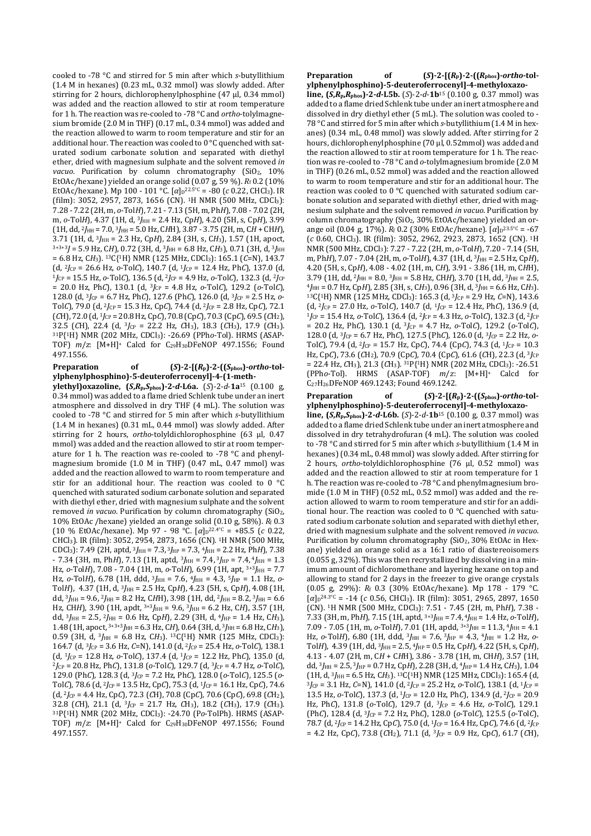cooled to -78 °C and stirred for 5 min after which *s*-butyllithium (1.4 M in hexanes) (0.23 mL, 0.32 mmol) was slowly added. After stirring for 2 hours, dichlorophenylphosphine (47 μl, 0.34 mmol) was added and the reaction allowed to stir at room temperature for 1 h. The reaction was re-cooled to -78 °C and *ortho*-tolylmagnesium bromide (2.0 M in THF) (0.17 mL, 0.34 mmol) was added and the reaction allowed to warm to room temperature and stir for an additional hour. The reaction was cooled to  $0^{\circ}$ C quenched with saturated sodium carbonate solution and separated with diethyl ether, dried with magnesium sulphate and the solvent removed *in*  vacuo. Purification by column chromatography (SiO<sub>2</sub>, 10%) EtOAc/hexane) yielded an orange solid  $(0.07 \text{ g}, 59 \text{ %})$ .  $R_f$  0.2 (10%) EtOAc/hexane). Mp 100 - 101 °C. [α]<sub>D</sub><sup>22.5</sup>°<sup>C</sup> = -80 (*c* 0.22, CHCl<sub>3</sub>). IR (film): 3052, 2957, 2873, 1656 (CN). 1H NMR (500 MHz, CDCl3): 7.28 - 7.22 (2H, m, *o*-Tol*H*), 7.21 - 7.13 (5H, m, Ph*H*), 7.08 - 7.02 (2H, m, *o*-Tol*H*), 4.37 (1H, d, <sup>3</sup>*J*HH = 2.4 Hz, Cp*H*), 4.20 (5H, s, Cp*H*), 3.99 (1H, dd, <sup>2</sup>*J*HH = 7.0, <sup>3</sup>*J*HH = 5.0 Hz, C*H*H), 3.87 - 3.75 (2H, m, C*H* + CH*H*), 3.71 (1H, d, <sup>3</sup>*J*HH = 2.3 Hz, Cp*H*), 2.84 (3H, s, C*H*3), 1.57 (1H, apoct,  $3+3+3$ *J* = 5.9 Hz, CH), 0.72 (3H, d,  $3$ *H*<sub>HH</sub> = 6.8 Hz, CH<sub>3</sub>), 0.71 (3H, d,  $3$ *H*<sub>HH</sub> = 6.8 Hz, C*H*3). 13C{1H} NMR (125 MHz, CDCl3): 165.1 (*C*=N), 143.7 (d, <sup>2</sup>*J*CP = 26.6 Hz, *o*-Tol*C*), 140.7 (d, <sup>1</sup>*J*CP = 12.4 Hz, Ph*C*), 137.0 (d, <sup>1</sup>*J*CP = 15.5 Hz, *o*-Tol*C*), 136.5 (d, <sup>2</sup>*J*CP = 4.9 Hz, *o*-Tol*C*), 132.3 (d, <sup>2</sup>*J*CP = 20.0 Hz, Ph*C*), 130.1 (d, <sup>3</sup>*J*CP = 4.8 Hz, *o*-Tol*C*), 129.2 (*o*-Tol*C*), 128.0 (d, 3*J*CP = 6.7 Hz, Ph*C*), 127.6 (Ph*C*), 126.0 (d, 3*J*CP = 2.5 Hz, *o*-Tol*C*), 79.0 (d, 2*J*CP = 15.3 Hz, Cp*C*), 74.4 (d, 2*J*CP = 2.8 Hz, Cp*C*), 72.1 (*C*H), 72.0 (d, <sup>1</sup>*J*CP = 20.8 Hz, Cp*C*), 70.8 (Cp*C*), 70.3 (Cp*C*), 69.5 (*C*H2), 32.5 (*C*H), 22.4 (d, <sup>3</sup>*J*CP = 22.2 Hz, *C*H3), 18.3 (*C*H3), 17.9 (*C*H3). <sup>31</sup>P{1H} NMR (202 MHz, CDCl3): -26.69 (PPh*o*-Tol). HRMS (ASAP-TOF) *m*/*z*: [M+H]+ Calcd for C29H30DFeNOP 497.1556; Found 497.1556.

**Preparation** of  $(S)$ -2- $[(R_p)$ -2- $((S_{phos})$ -*ortho*-tol**ylphenylphosphino)-5-deuteroferrocenyl]-4-(1-meth-**

**ylethyl)oxazoline, (***S***,***R***p,***S***phos)-2-***d***-L6a.** (*S*)-2-*d*-**1a**<sup>15</sup> (0.100 g, 0.34 mmol) was added to a flame dried Schlenk tube under an inert atmosphere and dissolved in dry THF (4 mL). The solution was cooled to -78 °C and stirred for 5 min after which *s*-butyllithium (1.4 M in hexanes) (0.31 mL, 0.44 mmol) was slowly added. After stirring for 2 hours, *ortho*-tolyldichlorophosphine (63 μl, 0.47 mmol) was added and the reaction allowed to stir at room temperature for 1 h. The reaction was re-cooled to -78 °C and phenylmagnesium bromide (1.0 M in THF) (0.47 mL, 0.47 mmol) was added and the reaction allowed to warm to room temperature and stir for an additional hour. The reaction was cooled to 0 °C quenched with saturated sodium carbonate solution and separated with diethyl ether, dried with magnesium sulphate and the solvent removed *in vacuo*. Purification by column chromatography (SiO2, 10% EtOAc /hexane) yielded an orange solid (0.10 g, 58%). *R*f 0.3  $(10 % EtOAc/hexane)$ . Mp 97 - 98 °C.  $[\alpha]_D^{22.4}$ °C = +85.5 (*c* 0.22, CHCl3). IR (film): 3052, 2954, 2873, 1656 (CN). 1H NMR (500 MHz, CDCl3): 7.49 (2H, aptd, 3*J*HH = 7.3, 3*J*HP = 7.3, 4*J*HH = 2.2 Hz, Ph*H*), 7.38 - 7.34 (3H, m, Ph*H*), 7.13 (1H, aptd,  $3J_{HH}$  = 7.4,  $3J_{HP}$  = 7.4,  $4J_{HH}$  = 1.3 Hz, *o*-Tol*H*), 7.08 - 7.04 (1H, m, *o*-Tol*H*), 6.99 (1H, apt, 3+3*J*HH = 7.7 Hz, *o*-Tol*H*), 6.78 (1H, ddd, 3*J*HH = 7.6, 4*J*HH = 4.3, 5*J*HP = 1.1 Hz, *o*-Tol*H*), 4.37 (1H, d, 3*J*HH = 2.5 Hz, Cp*H*), 4.23 (5H, s, Cp*H*), 4.08 (1H, dd, <sup>3</sup>*J*HH = 9.6, <sup>2</sup>*J*HH = 8.2 Hz, C*H*H), 3.98 (1H, dd, <sup>2</sup>*J*HH = 8.2, <sup>3</sup>*J*HH = 6.6 Hz, CHH), 3.90 (1H, apdt, <sup>3+3</sup>*J*<sub>HH</sub> = 9.6, <sup>3</sup>*J*<sub>HH</sub> = 6.2 Hz, CH), 3.57 (1H, dd, <sup>3</sup>*J*HH = 2.5, <sup>2</sup>*J*HH = 0.6 Hz, Cp*H*), 2.29 (3H, d, <sup>4</sup>*J*HP = 1.4 Hz, C*H*3), 1.48 (1H, apoct, 3+3+3*J*HH = 6.3 Hz, C*H*), 0.64 (3H, d, 3*J*HH = 6.8 Hz, C*H*3), 0.59 (3H, d,  $3J_{HH} = 6.8$  Hz, CH<sub>3</sub>).  $13C{1H}$  NMR (125 MHz, CDCl<sub>3</sub>): 164.7 (d, <sup>3</sup>*J*CP = 3.6 Hz, *C*=N), 141.0 (d, <sup>2</sup>*J*CP = 25.4 Hz, *o*-Tol*C*), 138.1 (d, <sup>1</sup>*J*CP = 12.8 Hz, *o*-Tol*C*), 137.4 (d, <sup>1</sup>*J*CP = 12.2 Hz, Ph*C*), 135.0 (d, <sup>2</sup>*J*CP = 20.8 Hz, Ph*C*), 131.8 (*o*-Tol*C*), 129.7 (d, 3*J*CP = 4.7 Hz, *o*-Tol*C*), 129.0 (Ph*C*), 128.3 (d, 3*J*CP = 7.2 Hz, Ph*C*), 128.0 (*o*-Tol*C*), 125.5 (*o*-Tol*C*), 78.6 (d, 2*J*CP = 13.5 Hz, Cp*C*), 75.3 (d, 1*J*CP = 16.1 Hz, Cp*C*), 74.6 (d, <sup>2</sup>*J*CP = 4.4 Hz, Cp*C*), 72.3 (*C*H), 70.8 (Cp*C*), 70.6 (Cp*C*), 69.8 (*C*H2), 32.8 (*C*H), 21.1 (d, <sup>3</sup>*J*CP = 21.7 Hz, *C*H3), 18.2 (*C*H3), 17.9 (*C*H3). <sup>31</sup>P{1H} NMR (202 MHz, CDCl3): -24.70 (P*o*-TolPh). HRMS (ASAP-TOF) *m*/*z*: [M+H]+ Calcd for C29H30DFeNOP 497.1556; Found 497.1557.

**Preparation** of  $(S)-2-[R_p)-2-[(R_{\text{phos}})-ortho\text{-}tol-$ 

**ylphenylphosphino)-5-deuteroferrocenyl]-4-methyloxazoline,**  $(S, R_p, R_{\text{phos}})$ **-2-***d***-L5b.** (*S*)-2-*d*-**1b**<sup>15</sup> (0.100 g, 0.37 mmol) was added to a flame dried Schlenk tube under an inert atmosphere and dissolved in dry diethyl ether (5 mL). The solution was cooled to - 78 °C and stirred for 5 min after which *s*-butyllithium (1.4 M in hexanes) (0.34 mL, 0.48 mmol) was slowly added. After stirring for 2 hours, dichlorophenylphosphine (70 μl, 0.52mmol) was added and the reaction allowed to stir at room temperature for 1 h. The reaction was re-cooled to -78 °C and *o*-tolylmagnesium bromide (2.0 M in THF) (0.26 mL, 0.52 mmol) was added and the reaction allowed to warm to room temperature and stir for an additional hour. The reaction was cooled to 0 °C quenched with saturated sodium carbonate solution and separated with diethyl ether, dried with magnesium sulphate and the solvent removed *in vacuo*. Purification by column chromatography (SiO<sub>2</sub>, 30% EtOAc/hexane) yielded an orange oil (0.04 g, 17%). *R*<sub>f</sub> 0.2 (30% EtOAc/hexane). [α]<sub>D</sub><sup>23.5°C</sup> = -67 (*c* 0.60, CHCl3). IR (film): 3052, 2962, 2923, 2873, 1652 (CN). 1H NMR (500 MHz, CDCl3): 7.27 - 7.22 (2H, m, *o*-Tol*H*), 7.20 - 7.14 (5H, m, Ph*H*), 7.07 - 7.04 (2H, m, *o*-Tol*H*), 4.37 (1H, d, <sup>3</sup>*J<sub>HH</sub>* = 2.5 Hz, Cp*H*), 4.20 (5H, s, Cp*H*), 4.08 - 4.02 (1H, m, C*H*), 3.91 - 3.86 (1H, m, C*H*H), 3.79 (1H, dd, <sup>2</sup>*J*HH = 8.0, <sup>3</sup>*J*HH = 5.8 Hz, CHH), 3.70 (1H, dd, <sup>3</sup>*J*HH = 2.5, <sup>4</sup>*J*HH = 0.7 Hz, Cp*H*), 2.85 (3H, s, C*H*3), 0.96 (3H, d, <sup>3</sup>*J*HH = 6.6 Hz, C*H*3). <sup>13</sup>C{1H} NMR (125 MHz, CDCl3): 165.3 (d, 3*J*CP = 2.9 Hz, *C*=N), 143.6 (d, 2*J*CP = 27.0 Hz, *o*-Tol*C*), 140.7 (d, 1*J*CP = 12.4 Hz, Ph*C*), 136.9 (d, <sup>1</sup>*J*CP = 15.4 Hz, *o*-Tol*C*), 136.4 (d, <sup>2</sup>*J*CP = 4.3 Hz, *o*-Tol*C*), 132.3 (d, <sup>2</sup>*J*CP  $= 20.2$  Hz, Ph*C*), 130.1 (d, <sup>3</sup>*J*<sub>CP</sub> = 4.7 Hz, *o*-Tol*C*), 129.2 (*o*-Tol*C*), 128.0 (d, 3*J*CP = 6.7 Hz, Ph*C*), 127.5 (Ph*C*), 126.0 (d, 3*J*CP = 2.2 Hz, *o*-Tol*C*), 79.4 (d, 2*J*CP = 15.7 Hz, Cp*C*), 74.4 (Cp*C*), 74.3 (d, 1*J*CP = 10.3 Hz, Cp*C*), 73.6 (*C*H2), 70.9 (Cp*C*), 70.4 (Cp*C*), 61.6 (*C*H), 22.3 (d, <sup>3</sup>*J*CP = 22.4 Hz, *C*H3), 21.3 (*C*H3). 31P{1H} NMR (202 MHz, CDCl3): -26.51 (PPh*o*-Tol). HRMS (ASAP-TOF) *m*/*z*: [M+H]+ Calcd for C27H26DFeNOP 469.1243; Found 469.1242.

**Preparation of (***S***)-2-[(***R***p)-2-((***S***phos)-***ortho***-tolylphenylphosphino)-5-deuteroferrocenyl]-4-methyloxazoline, (***S***,***R***p,***S***phos)-2-***d***-L6b.** (*S*)-2-*d*-**1b**15 (0.100 g, 0.37 mmol) was added to a flame dried Schlenk tube under an inert atmosphere and dissolved in dry tetrahydrofuran (4 mL). The solution was cooled to -78 °C and stirred for 5 min after which *s*-butyllithium (1.4 M in hexanes) (0.34 mL, 0.48 mmol) was slowly added. After stirring for 2 hours, *ortho*-tolyldichlorophosphine (76 μl, 0.52 mmol) was added and the reaction allowed to stir at room temperature for 1 h. The reaction was re-cooled to -78 °C and phenylmagnesium bromide (1.0 M in THF) (0.52 mL, 0.52 mmol) was added and the reaction allowed to warm to room temperature and stir for an additional hour. The reaction was cooled to 0 °C quenched with saturated sodium carbonate solution and separated with diethyl ether, dried with magnesium sulphate and the solvent removed *in vacuo*. Purification by column chromatography  $(SiO<sub>2</sub>, 30% EtOAc)$  in Hexane) yielded an orange solid as a 16:1 ratio of diastereoisomers (0.055 g, 32%). This was then recrystallized by dissolving in a minimum amount of dichloromethane and layering hexane on top and allowing to stand for 2 days in the freezer to give orange crystals (0.05 g, 29%): *R*f 0.3 (30% EtOAc/hexane). Mp 178 - 179 °C.  $[\alpha]_{D}^{24.3\degree C}$  = -14 (*c* 0.56, CHCl<sub>3</sub>). IR (film): 3051, 2965, 2897, 1650 (CN). 1H NMR (500 MHz, CDCl3): 7.51 - 7.45 (2H, m, Ph*H*), 7.38 - 7.33 (3H, m, Ph*H*), 7.15 (1H, aptd, 3+3*J*HH = 7.4,<sup>4</sup>*J*HH = 1.4 Hz, *o*-Tol*H*), 7.09 - 7.05 (1H, m, *o*-Tol*H*), 7.01 (1H, apdd, 3+3*J*HH = 11.3, 4*J*HH = 4.1 Hz, *o*-Tol*H*), 6.80 (1H, ddd, 3*J*HH = 7.6, 3*J*HP = 4.3, 4*J*HH = 1.2 Hz, *o*-Tol*H*), 4.39 (1H, dd, <sup>3</sup>*J*HH = 2.5, <sup>4</sup>*J*HP = 0.5 Hz, Cp*H*), 4.22 (5H, s, Cp*H*), 4.13 - 4.07 (2H, m, C*H* + C*H*H), 3.86 - 3.78 (1H, m, CH*H*), 3.57 (1H, dd, 3*J*HH = 2.5, 3*J*HP = 0.7 Hz, Cp*H*), 2.28 (3H, d, 4*J*HP = 1.4 Hz, C*H*3), 1.04 (1H, d, 3*J*HH = 6.5 Hz, C*H*3). 13C{1H} NMR (125 MHz, CDCl3): 165.4 (d, <sup>3</sup>*J*CP = 3.1 Hz, *C*=N), 141.0 (d, 2*J*CP = 25.2 Hz, *o*-Tol*C*), 138.1 (d, 1*J*CP = 13.5 Hz, *o*-Tol*C*), 137.3 (d, <sup>1</sup>*J*CP = 12.0 Hz, Ph*C*), 134.9 (d, <sup>2</sup>*J*CP = 20.9 Hz, PhC), 131.8 (o-TolC), 129.7 (d,  $3f_{CP} = 4.6$  Hz, o-TolC), 129.1 (Ph*C*), 128.4 (d, 3*J*CP = 7.2 Hz, Ph*C*), 128.0 (*o*-Tol*C*), 125.5 (*o*-Tol*C*), 78.7 (d, 2*J*CP = 14.2 Hz, Cp*C*), 75.0 (d, 1*J*CP = 16.4 Hz, Cp*C*), 74.6 (d, 2*J*CP  $= 4.2$  Hz, Cp*C*), 73.8 (*C*H<sub>2</sub>), 71.1 (d, <sup>3</sup>*J*<sub>CP</sub> = 0.9 Hz, Cp*C*), 61.7 (*C*H),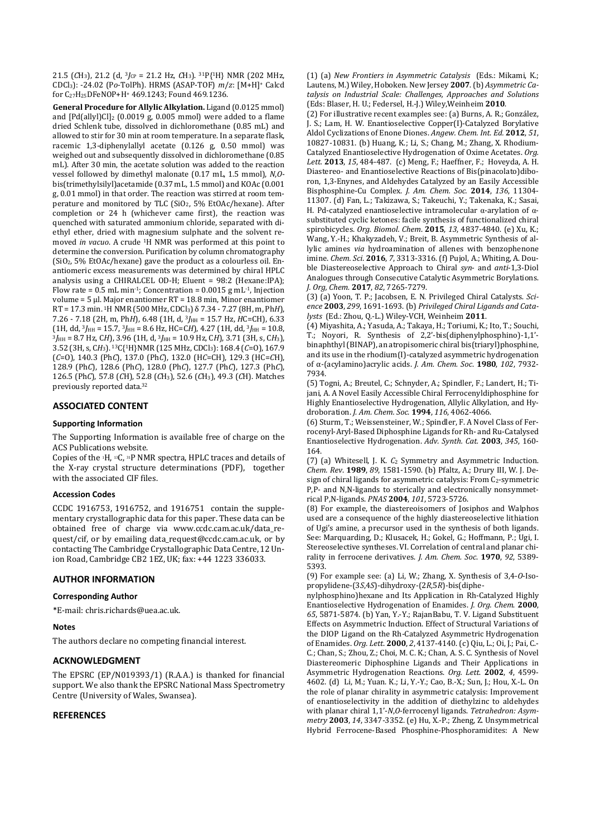21.5 (*C*H3), 21.2 (d, 3*J*CP = 21.2 Hz, *C*H3). 31P{1H} NMR (202 MHz, CDCl3): -24.02 (P*o*-TolPh). HRMS (ASAP-TOF) *m*/*z*: [M+H]+ Calcd for C27H25DFeNOP+H+ 469.1243; Found 469.1236.

**General Procedure for Allylic Alkylation.** Ligand (0.0125 mmol) and  $[Pd(ally)]Cl<sub>2</sub>$  (0.0019 g, 0.005 mmol) were added to a flame dried Schlenk tube, dissolved in dichloromethane (0.85 mL) and allowed to stir for 30 min at room temperature. In a separate flask, racemic 1,3-diphenylallyl acetate (0.126 g, 0.50 mmol) was weighed out and subsequently dissolved in dichloromethane (0.85 mL). After 30 min, the acetate solution was added to the reaction vessel followed by dimethyl malonate (0.17 mL, 1.5 mmol), *N*,*O*bis(trimethylsilyl)acetamide (0.37 mL, 1.5 mmol) and KOAc (0.001 g, 0.01 mmol) in that order. The reaction was stirred at room temperature and monitored by TLC (SiO2, 5% EtOAc/hexane). After completion or 24 h (whichever came first), the reaction was quenched with saturated ammonium chloride, separated with diethyl ether, dried with magnesium sulphate and the solvent removed *in vacuo*. A crude 1H NMR was performed at this point to determine the conversion. Purification by column chromatography (SiO2, 5% EtOAc/hexane) gave the product as a colourless oil. Enantiomeric excess measurements was determined by chiral HPLC analysis using a CHIRALCEL OD-H; Eluent = 98:2 (Hexane:IPA); Flow rate =  $0.5$  mL min<sup>-1</sup>; Concentration =  $0.0015$  g mL<sup>-1</sup>, Injection volume = 5 µl. Major enantiomer RT = 18.8 min, Minor enantiomer RT = 17.3 min. 1H NMR (500 MHz, CDCl3) δ 7.34 - 7.27 (8H, m, Ph*H*), 7.26 - 7.18 (2H, m, PhH), 6.48 (1H, d,  $3J_{HH}$  = 15.7 Hz, HC=CH), 6.33  $(1H, dd, 3J<sub>HH</sub> = 15.7, 3J<sub>HH</sub> = 8.6 Hz, HC=CH$ , 4.27  $(1H, dd, 3J<sub>HH</sub> = 10.8,$ <sup>3</sup>*J*HH = 8.7 Hz, C*H*), 3.96 (1H, d, <sup>3</sup>*J*HH = 10.9 Hz, C*H*), 3.71 (3H, s, C*H*3), 3.52 (3H, s, C*H*3). 13C{1H}NMR (125 MHz, CDCl3): 168.4 (*C*=O), 167.9 (*C*=O), 140.3 (Ph*C*), 137.0 (Ph*C*), 132.0 (H*C*=CH), 129.3 (HC=*C*H), 128.9 (Ph*C*), 128.6 (Ph*C*), 128.0 (Ph*C*), 127.7 (Ph*C*), 127.3 (Ph*C*), 126.5 (Ph*C*), 57.8 (*C*H), 52.8 (*C*H3), 52.6 (*C*H3), 49.3 (*C*H). Matches previously reported data.<sup>32</sup>

## **ASSOCIATED CONTENT**

#### **Supporting Information**

The Supporting Information is available free of charge on the ACS Publications website.

Copies of the 1H, 13C, 31P NMR spectra, HPLC traces and details of the X-ray crystal structure determinations (PDF), together with the associated CIF files.

#### **Accession Codes**

CCDC 1916753, 1916752, and 1916751 contain the supplementary crystallographic data for this paper. These data can be obtained free of charge via www.ccdc.cam.ac.uk/data\_request/cif, or by emailing data\_request@ccdc.cam.ac.uk, or by contacting The Cambridge Crystallographic Data Centre, 12 Union Road, Cambridge CB2 1EZ, UK; fax: +44 1223 336033.

## **AUTHOR INFORMATION**

#### **Corresponding Author**

\*E-mail: chris.richards@uea.ac.uk.

#### **Notes**

The authors declare no competing financial interest.

## **ACKNOWLEDGMENT**

The EPSRC (EP/N019393/1) (R.A.A.) is thanked for financial support. We also thank the EPSRC National Mass Spectrometry Centre (University of Wales, Swansea).

## **REFERENCES**

(1) (a) *New Frontiers in Asymmetric Catalysis* (Eds.: Mikami, K.; Lautens, M.) Wiley, Hoboken. New Jersey **2007**. (b) *Asymmetric Catalysis on Industrial Scale: Challenges, Approaches and Solutions* (Eds: Blaser, H. U.; Federsel, H.-J.) Wiley,Weinheim **2010**.

(2) For illustrative recent examples see: (a) Burns, A. R.; González, J. S.; Lam, H. W. Enantioselective Copper(I)-Catalyzed Borylative Aldol Cyclizations of Enone Diones. *Angew. Chem. Int. Ed.* **2012**, *51*, 10827-10831. (b) Huang, K.; Li, S.; Chang, M.; Zhang, X. Rhodium-Catalyzed Enantioselective Hydrogenation of Oxime Acetates. *Org. Lett.* **2013**, *15*, 484-487. (c) Meng, F.; Haeffner, F.; Hoveyda, A. H. Diastereo- and Enantioselective Reactions of Bis(pinacolato)diboron, 1,3-Enynes, and Aldehydes Catalyzed by an Easily Accessible Bisphosphine-Cu Complex. *J. Am. Chem. Soc.* **2014**, *136*, 11304- 11307. (d) Fan, L.; Takizawa, S.; Takeuchi, Y.; Takenaka, K.; Sasai, H. Pd-catalyzed enantioselective intramolecular α-arylation of αsubstituted cyclic ketones: facile synthesis of functionalized chiral spirobicycles. *Org. Biomol. Chem*. **2015**, *13*, 4837-4840. (e) Xu, K.; Wang, Y.-H.; Khakyzadeh, V.; Breit, B. Asymmetric Synthesis of allylic amines *via* hydroamination of allenes with benzophenone imine. *Chem. Sci*. **2016**, *7*, 3313-3316. (f) Pujol, A.; Whiting, A. Double Diastereoselective Approach to Chiral *syn*- and *anti*-1,3-Diol Analogues through Consecutive Catalytic Asymmetric Borylations. *J. Org, Chem.* **2017**, *82*, 7265-7279.

(3) (a) Yoon, T. P.; Jacobsen, E. N. Privileged Chiral Catalysts. *Science* **2003**, *299*, 1691-1693. (b) *Privileged Chiral Ligands and Catalysts* (Ed.: Zhou, Q.-L.) Wiley-VCH, Weinheim **2011**.

(4) Miyashita, A.; Yasuda, A.; Takaya, H.; Toriumi, K.; Ito, T.; Souchi, T.; Noyori, R. Synthesis of 2,2'-bis(diphenylphosphino)-1,1' binaphthyl (BINAP), an atropisomeric chiral bis(triaryl)phosphine, and its use in the rhodium(I)-catalyzed asymmetric hydrogenation of α-(acylamino)acrylic acids. *J. Am. Chem. Soc*. **1980**, *102*, 7932- 7934.

(5) Togni, A.; Breutel, C.; Schnyder, A.; Spindler, F.; Landert, H.; Tijani, A. A Novel Easily Accessible Chiral Ferrocenyldiphosphine for Highly Enantioselective Hydrogenation, Allylic Alkylation, and Hydroboration. *J. Am. Chem. Soc*. **1994**, *116*, 4062-4066.

(6) Sturm, T.; Weissensteiner, W.; Spindler, F. A Novel Class of Ferrocenyl-Aryl-Based Diphosphine Ligands for Rh- and Ru-Catalysed Enantioselective Hydrogenation. *Adv. Synth. Cat.* **2003**, *345*, 160- 164.

(7) (a) Whitesell, J. K. *C*2 Symmetry and Asymmetric Induction. *Chem. Rev*. **1989**, *89*, 1581-1590. (b) Pfaltz, A.; Drury III, W. J. Design of chiral ligands for asymmetric catalysis: From  $C_2$ -symmetric P,P- and N,N-ligands to sterically and electronically nonsymmetrical P,N-ligands. *PNAS* **2004**, *101*, 5723-5726.

(8) For example, the diastereoisomers of Josiphos and Walphos used are a consequence of the highly diastereoselective lithiation of Ugi's amine, a precursor used in the synthesis of both ligands. See: Marquarding, D.; Klusacek, H.; Gokel, G.; Hoffmann, P.; Ugi, I. Stereoselective syntheses. VI. Correlation of central and planar chirality in ferrocene derivatives. *J. Am. Chem. Soc*. **1970**, *92*, 5389- 5393.

(9) For example see: (a) Li, W.; Zhang, X. Synthesis of 3,4-*O*-Isopropylidene-(3*S*,4*S*)-dihydroxy-(2*R*,5*R*)-bis(diphe-

nylphosphino)hexane and Its Application in Rh-Catalyzed Highly Enantioselective Hydrogenation of Enamides. *J. Org. Chem*. **2000**, *65*, 5871-5874. (b) Yan, Y.-Y.; RajanBabu, T. V. Ligand Substituent Effects on Asymmetric Induction. Effect of Structural Variations of the DIOP Ligand on the Rh-Catalyzed Asymmetric Hydrogenation of Enamides. *Org. Lett*. **2000**, *2*, 4137-4140. (c) Qiu, L.; Oi, J.; Pai, C.- C.; Chan, S.; Zhou, Z.; Choi, M. C. K.; Chan, A. S. C. Synthesis of Novel Diastereomeric Diphosphine Ligands and Their Applications in Asymmetric Hydrogenation Reactions. *Org. Lett*. **2002**, *4*, 4599- 4602. (d) Li, M.; Yuan. K.; Li, Y.-Y.; Cao, B.-X.; Sun, J.; Hou, X.-L. On the role of planar chirality in asymmetric catalysis: Improvement of enantioselectivity in the addition of diethylzinc to aldehydes with planar chiral 1,1'-*N*,*O*-ferrocenyl ligands. *Tetrahedron: Asymmetry* **2003**, *14*, 3347-3352. (e) Hu, X.-P.; Zheng, Z. Unsymmetrical Hybrid Ferrocene-Based Phosphine-Phosphoramidites: A New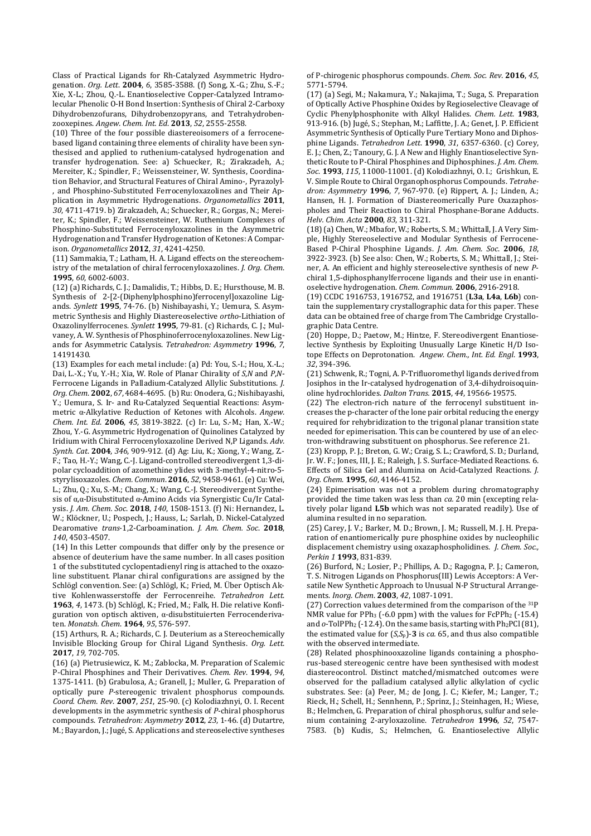Class of Practical Ligands for Rh-Catalyzed Asymmetric Hydrogenation. *Org. Lett*. **2004**, *6*, 3585-3588. (f) Song, X.-G.; Zhu, S.-F.; Xie, X-L.; Zhou, Q.-L. Enantioselective Copper-Catalyzed Intramolecular Phenolic O-H Bond Insertion: Synthesis of Chiral 2-Carboxy Dihydrobenzofurans, Dihydrobenzopyrans, and Tetrahydrobenzooxepines. *Angew. Chem. Int. Ed*. **2013**, *52*, 2555-2558.

(10) Three of the four possible diastereoisomers of a ferrocenebased ligand containing three elements of chirality have been synthesised and applied to ruthenium-catalysed hydrogenation and transfer hydrogenation. See: a) Schuecker, R.; Zirakzadeh, A.; Mereiter, K.; Spindler, F.; Weissensteiner, W. Synthesis, Coordination Behavior, and Structural Features of Chiral Amino-, Pyrazolyl- , and Phosphino-Substituted Ferrocenyloxazolines and Their Application in Asymmetric Hydrogenations. *Organometallics* **2011**, *30*, 4711-4719. b) Zirakzadeh, A.; Schuecker, R.; Gorgas, N.; Mereiter, K.; Spindler, F.; Weissensteiner, W. Ruthenium Complexes of Phosphino-Substituted Ferrocenyloxazolines in the Asymmetric Hydrogenation and Transfer Hydrogenation of Ketones: A Comparison. *Organometallics* **2012**, *31*, 4241-4250.

(11) Sammakia, T.; Latham, H. A. Ligand effects on the stereochemistry of the metalation of chiral ferrocenyloxazolines. *J. Org. Chem*. **1995**, *60*, 6002-6003.

(12) (a) Richards, C. J.; Damalidis, T.; Hibbs, D. E.; Hursthouse, M. B. Synthesis of 2-[2-(Diphenylphosphino)ferrocenyl]oxazoline Ligands. *Synlett* **1995**, 74-76. (b) Nishibayashi, Y.; Uemura, S. Asymmetric Synthesis and Highly Diastereoselective *ortho*-Lithiation of Oxazolinylferrocenes. *Synlett* **1995**, 79-81. (c) Richards, C. J.; Mulvaney, A. W. Synthesis of Phosphinoferrocenyloxazolines. New Ligands for Asymmetric Catalysis. *Tetrahedron: Asymmetry* **1996**, *7*, 14191430.

(13) Examples for each metal include: (a) Pd: You, S.-I.; Hou, X.-L.; Dai, L.-X.; Yu, Y.-H.; Xia, W. Role of Planar Chirality of *S*,*N* and *P*,*N*-Ferrocene Ligands in Palladium-Catalyzed Allylic Substitutions. *J. Org. Chem*. **2002**, *67*, 4684-4695. (b) Ru: Onodera, G.; Nishibayashi, Y.; Uemura, S. Ir- and Ru-Catalyzed Sequential Reactions: Asymmetric α-Alkylative Reduction of Ketones with Alcohols. *Angew. Chem. Int. Ed*. **2006**, *45*, 3819-3822. (c) Ir: Lu, S.-M.; Han, X.-W.; Zhou, Y.-G. Asymmetric Hydrogenation of Quinolines Catalyzed by Iridium with Chiral Ferrocenyloxazoline Derived N,P Ligands. *Adv. Synth. Cat*. **2004**, *346*, 909-912. (d) Ag: Liu, K.; Xiong, Y.; Wang, Z.- F.; Tao, H.-Y.; Wang, C.-J. Ligand-controlled stereodivergent 1,3-dipolar cycloaddition of azomethine ylides with 3-methyl-4-nitro-5 styrylisoxazoles. *Chem. Commun*. **2016**, *52*, 9458-9461. (e) Cu: Wei, L.; Zhu, Q.; Xu, S.-M.; Chang, X.; Wang, C.-J. Stereodivergent Synthesis of α,α-Disubstituted α-Amino Acids via Synergistic Cu/Ir Catalysis. *J. Am. Chem. Soc*. **2018**, *140*, 1508-1513. (f) Ni: Hernandez, L. W.; Klöckner, U.; Pospech, J.; Hauss, L.; Sarlah, D. Nickel-Catalyzed Dearomative *trans*-1,2-Carboamination. *J. Am. Chem. Soc*. **2018**, *140*, 4503-4507.

(14) In this Letter compounds that differ only by the presence or absence of deuterium have the same number. In all cases position 1 of the substituted cyclopentadienyl ring is attached to the oxazoline substituent. Planar chiral configurations are assigned by the Schlögl convention. See: (a) Schlögl, K.; Fried, M. Über Optisch Aktive Kohlenwasserstoffe der Ferrocenreihe. *Tetrahedron Lett*. **1963**, *4*, 1473. (b) Schlögl, K.; Fried, M.; Falk, H. Die relative Konfiguration von optisch aktiven, α-disubstituierten Ferrocenderivaten. *Monatsh. Chem*. **1964**, *95*, 576-597.

(15) Arthurs, R. A.; Richards, C. J. Deuterium as a Stereochemically Invisible Blocking Group for Chiral Ligand Synthesis. *Org. Lett.* **2017**, *19*, 702-705.

(16) (a) Pietrusiewicz, K. M.; Zablocka, M. Preparation of Scalemic P-Chiral Phosphines and Their Derivatives. *Chem. Rev*. **1994**, *94*, 1375-1411. (b) Grabulosa, A.; Granell, J.; Muller, G. Preparation of optically pure *P*-stereogenic trivalent phosphorus compounds. *Coord. Chem. Rev*. **2007**, *251*, 25-90. (c) Kolodiazhnyi, O. I. Recent developments in the asymmetric synthesis of *P*-chiral phosphorus compounds. *Tetrahedron: Asymmetry* **2012**, *23*, 1-46. (d) Dutartre, M.; Bayardon, J.; Jugé, S. Applications and stereoselective syntheses of P-chirogenic phosphorus compounds. *Chem. Soc. Rev.* **2016**, *45*, 5771-5794.

(17) (a) Segi, M.; Nakamura, Y.; Nakajima, T.; Suga, S. Preparation of Optically Active Phosphine Oxides by Regioselective Cleavage of Cyclic Phenylphosphonite with Alkyl Halides. *Chem. Lett*. **1983**, 913-916. (b) Jugé, S.; Stephan, M.; Laffitte, J. A.; Genet, J. P. Efficient Asymmetric Synthesis of Optically Pure Tertiary Mono and Diphosphine Ligands. *Tetrahedron Lett*. **1990**, *31*, 6357-6360. (c) Corey, E. J.; Chen, Z.; Tanoury, G. J. A New and Highly Enantioselective Synthetic Route to P-Chiral Phosphines and Diphosphines. *J. Am. Chem. Soc*. **1993**, *115*, 11000-11001. (d) Kolodiazhnyi, O. I.; Grishkun, E. V. Simple Route to Chiral Organophosphorus Compounds. *Tetrahedron: Asymmetry* **1996**, *7*, 967-970. (e) Rippert, A. J.; Linden, A.; Hansen, H. J. Formation of Diastereomerically Pure Oxazaphospholes and Their Reaction to Chiral Phosphane-Borane Adducts. *Helv. Chim. Acta* **2000**, *83*, 311-321.

(18) (a) Chen, W.; Mbafor, W.; Roberts, S. M.; Whittall, J. A Very Simple, Highly Stereoselective and Modular Synthesis of Ferrocene-Based P-Chiral Phosphine Ligands. *J. Am. Chem. Soc*. **2006**, *18*, 3922-3923. (b) See also: Chen, W.; Roberts, S. M.; Whittall, J.; Steiner, A. An efficient and highly stereoselective synthesis of new *P*chiral 1,5-diphosphanylferrocene ligands and their use in enantioselective hydrogenation. *Chem. Commun*. **2006**, 2916-2918.

(19) CCDC 1916753, 1916752, and 1916751 (**L3a**, **L4a**, **L6b**) contain the supplementary crystallographic data for this paper. These data can be obtained free of charge from The Cambridge Crystallographic Data Centre.

(20) Hoppe, D.; Paetow, M.; Hintze, F. Stereodivergent Enantioselective Synthesis by Exploiting Unusually Large Kinetic H/D Isotope Effects on Deprotonation. *Angew. Chem., Int. Ed. Engl*. **1993**, *32*, 394-396.

(21) Schwenk, R.; Togni, A. P-Trifluoromethyl ligands derived from Josiphos in the Ir-catalysed hydrogenation of 3,4-dihydroisoquinoline hydrochlorides. *Dalton Trans.* **2015**, *44*, 19566-19575.

(22) The electron-rich nature of the ferrocenyl substituent increases the p-character of the lone pair orbital reducing the energy required for rehybridization to the trigonal planar transition state needed for epimerisation. This can be countered by use of an electron-withdrawing substituent on phosphorus. See reference 21.

(23) Kropp, P. J.; Breton, G. W.; Craig, S. L.; Crawford, S. D.; Durland, Jr. W. F.; Jones, III, J. E.; Raleigh, J. S. Surface-Mediated Reactions. 6. Effects of Silica Gel and Alumina on Acid-Catalyzed Reactions. *J. Org. Chem*. **1995**, *60*, 4146-4152.

(24) Epimerisation was not a problem during chromatography provided the time taken was less than *ca.* 20 min (excepting relatively polar ligand **L5b** which was not separated readily). Use of alumina resulted in no separation.

(25) Carey, J. V.; Barker, M. D.; Brown, J. M.; Russell, M. J. H. Preparation of enantiomerically pure phosphine oxides by nucleophilic displacement chemistry using oxazaphospholidines. *J. Chem. Soc., Perkin 1* **1993**, 831-839.

(26) Burford, N.; Losier, P.; Phillips, A. D.; Ragogna, P. J.; Cameron, T. S. Nitrogen Ligands on Phosphorus(III) Lewis Acceptors: A Versatile New Synthetic Approach to Unusual N-P Structural Arrangements. *Inorg. Chem*. **2003**, *42*, 1087-1091.

(27) Correction values determined from the comparison of the 31P NMR value for PPh<sub>3</sub> (-6.0 ppm) with the values for FcPPh<sub>2</sub> (-15.4) and  $o$ -TolPPh<sub>2</sub> (-12.4). On the same basis, starting with Ph<sub>2</sub>PCl (81), the estimated value for  $(S, S_p)$ -3 is *ca.* 65, and thus also compatible with the observed intermediate.

(28) Related phosphinooxazoline ligands containing a phosphorus-based stereogenic centre have been synthesised with modest diastereocontrol. Distinct matched/mismatched outcomes were observed for the palladium catalysed allylic alkylation of cyclic substrates. See: (a) Peer, M.; de Jong, J. C.; Kiefer, M.; Langer, T.; Rieck, H.; Schell, H.; Sennhenn, P.; Sprinz, J.; Steinhagen, H.; Wiese, B.; Helmchen, G. Preparation of chiral phosphorus, sulfur and selenium containing 2-aryloxazoline. *Tetrahedron* **1996**, *52*, 7547- 7583. (b) Kudis, S.; Helmchen, G. Enantioselective Allylic